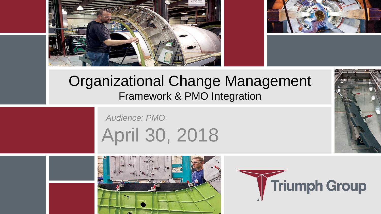



#### Organizational Change Management Framework & PMO Integration

*Audience: PMO* April 30, 2018



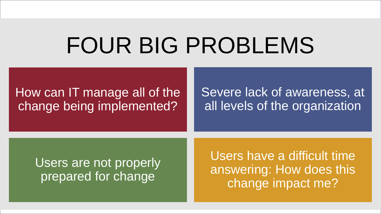# FOUR BIG PROBLEMS

#### How can IT manage all of the change being implemented?

#### Severe lack of awareness, at all levels of the organization

#### Users are not properly prepared for change

Users have a difficult time answering: How does this change impact me?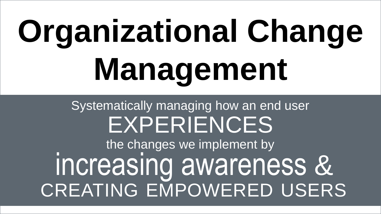# **Organizational Change Management**

# Systematically managing how an end user EXPERIENCES

the changes we implement by increasing awareness & CREATING EMPOWERED USERS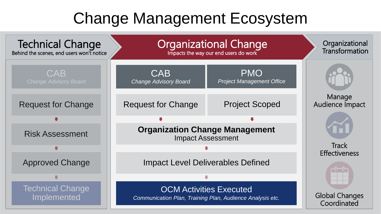### Change Management Ecosystem

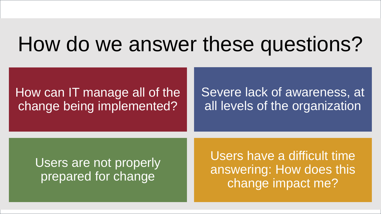# How do we answer these questions?

#### How can IT manage all of the change being implemented?

#### Severe lack of awareness, at all levels of the organization

#### Users are not properly prepared for change

Users have a difficult time answering: How does this change impact me?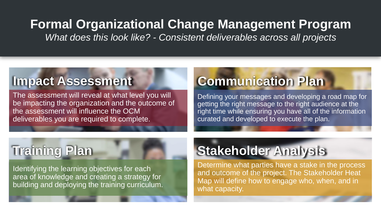#### **Formal Organizational Change Management Program**

*What does this look like? - Consistent deliverables across all projects*

#### **Impact Assessment**

The assessment will reveal at what level you will be impacting the organization and the outcome of the assessment will influence the OCM deliverables you are required to complete.

#### **Communication Plan**

Defining your messages and developing a road map for getting the right message to the right audience at the right time while ensuring you have all of the information curated and developed to execute the plan.

### **Training Plan**

Identifying the learning objectives for each area of knowledge and creating a strategy for building and deploying the training curriculum.

### **Stakeholder Analysis**

Determine what parties have a stake in the process and outcome of the project. The Stakeholder Heat Map will define how to engage who, when, and in what capacity.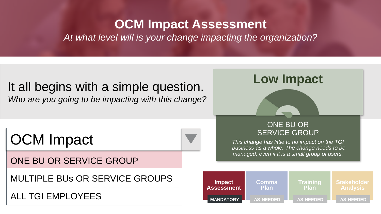#### **OCM Impact Assessment**

*At what level will is your change impacting the organization?*

#### It all begins with a simple question. *Who are you going to be impacting with this change?*

OCM Impact

ONE BU OR SERVICE GROUP

MULTIPLE BUs OR SERVICE GROUPS

ALL TGI EMPLOYEES

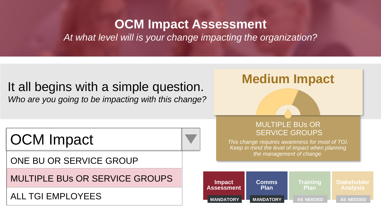#### **OCM Impact Assessment**

*At what level will is your change impacting the organization?*

#### It all begins with a simple question. *Who are you going to be impacting with this change?*

OCM Impact

ONE BU OR SERVICE GROUP

MULTIPLE BUs OR SERVICE GROUPS

ALL TGI EMPLOYEES



**Medium Impact**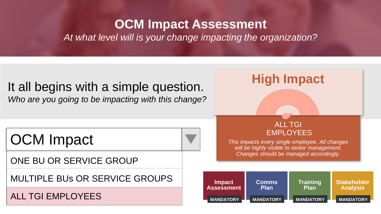#### **OCM Impact Assessment**

*At what level will is your change impacting the organization?*

#### It all begins with a simple question. *Who are you going to be impacting with this change?*

OCM Impact

ONE BU OR SERVICE GROUP

MULTIPLE BUs OR SERVICE GROUPS

#### ALL TGI EMPLOYEES

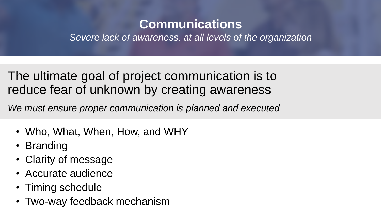#### **Communications**

*Severe lack of awareness, at all levels of the organization*

The ultimate goal of project communication is to reduce fear of unknown by creating awareness

*We must ensure proper communication is planned and executed*

- Who, What, When, How, and WHY
- Branding
- Clarity of message
- Accurate audience
- Timing schedule
- Two-way feedback mechanism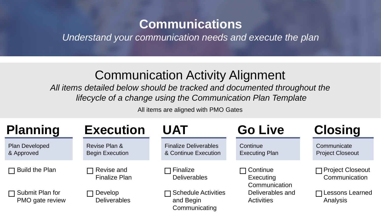#### **Communications**

*Understand your communication needs and execute the plan*

#### Communication Activity Alignment

*All items detailed below should be tracked and documented throughout the lifecycle of a change using the Communication Plan Template*

All items are aligned with PMO Gates

| <b>Planning</b>                           | <b>Execution</b>                        | <b>UAT</b>                                           | <b>Go Live</b>                           | <b>Closing</b>                             |
|-------------------------------------------|-----------------------------------------|------------------------------------------------------|------------------------------------------|--------------------------------------------|
| Plan Developed<br>& Approved              | Revise Plan &<br><b>Begin Execution</b> | <b>Finalize Deliverables</b><br>& Continue Execution | Continue<br><b>Executing Plan</b>        | Communicate<br><b>Project Closeout</b>     |
| $\Box$ Build the Plan                     | Revise and<br><b>Finalize Plan</b>      | ヿ Finalize<br><b>Deliverables</b>                    | コ Continue<br>Executing<br>Communication | <b>□ Project Closeout</b><br>Communication |
| $\Box$ Submit Plan for<br>PMO gate review | Develop<br><b>Deliverables</b>          | Schedule Activities<br>and Begin<br>Communicating    | Deliverables and<br><b>Activities</b>    | □Lessons Learned<br>Analysis               |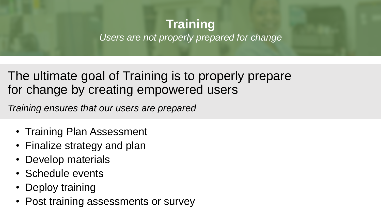#### **Training** *Users are not properly prepared for change*

#### The ultimate goal of Training is to properly prepare for change by creating empowered users

*Training ensures that our users are prepared*

- Training Plan Assessment
- Finalize strategy and plan
- Develop materials
- Schedule events
- Deploy training
- Post training assessments or survey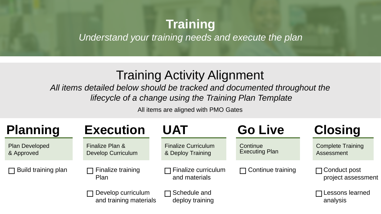#### **Training**

*Understand your training needs and execute the plan*

#### Training Activity Alignment

*All items detailed below should be tracked and documented throughout the lifecycle of a change using the Training Plan Template*

All items are aligned with PMO Gates

| <b>Planning</b>              | <b>Execution</b>                                                         | <b>UAT</b>                                      | <b>Go Live</b>                    | <b>Closing</b>                            |
|------------------------------|--------------------------------------------------------------------------|-------------------------------------------------|-----------------------------------|-------------------------------------------|
| Plan Developed<br>& Approved | Finalize Plan &<br><b>Develop Curriculum</b>                             | <b>Finalize Curriculum</b><br>& Deploy Training | Continue<br><b>Executing Plan</b> | <b>Complete Training</b><br>Assessment    |
| $\Box$ Build training plan   | Finalize training<br>$\Box$ Finalize curriculum<br>and materials<br>Plan |                                                 | $\Box$ Continue training          | $\Box$ Conduct post<br>project assessment |
|                              | Develop curriculum<br>and training materials                             | $\Box$ Schedule and<br>deploy training          |                                   | $\Box$ Lessons learned<br>analysis        |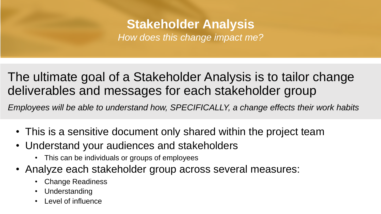# **Stakeholder Analysis**

*How does this change impact me?*

#### The ultimate goal of a Stakeholder Analysis is to tailor change deliverables and messages for each stakeholder group

*Employees will be able to understand how, SPECIFICALLY, a change effects their work habits*

- This is a sensitive document only shared within the project team
- Understand your audiences and stakeholders
	- This can be individuals or groups of employees
- Analyze each stakeholder group across several measures:
	- Change Readiness
	- Understanding
	- Level of influence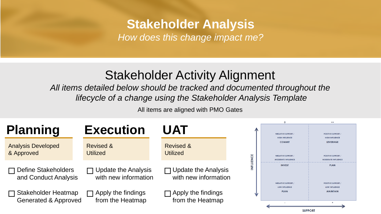### **Stakeholder Analysis**

*How does this change impact me?*

#### Stakeholder Activity Alignment

*All items detailed below should be tracked and documented throughout the lifecycle of a change using the Stakeholder Analysis Template*

All items are aligned with PMO Gates

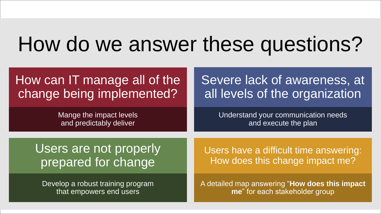# How do we answer these questions?

#### How can IT manage all of the change being implemented?

Mange the impact levels and predictably deliver

Severe lack of awareness, at all levels of the organization

> Understand your communication needs and execute the plan

Users are not properly prepared for change

Develop a robust training program that empowers end users

Users have a difficult time answering: How does this change impact me?

A detailed map answering "**How does this impact me**" for each stakeholder group

15

15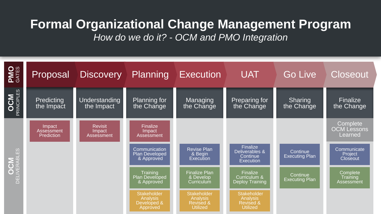# **Formal Organizational Change Management Program**

*How do we do it? - OCM and PMO Integration*

| <b>PMO</b>                 | Proposal                           | Discovery Planning                     |                                                           | <b>Execution</b>                                                                 | <b>UAT</b>                                                                | <b>Go Live</b>                    | <b>Closeout</b>                           |
|----------------------------|------------------------------------|----------------------------------------|-----------------------------------------------------------|----------------------------------------------------------------------------------|---------------------------------------------------------------------------|-----------------------------------|-------------------------------------------|
| <b>OCM</b><br>PRINCIPLES   | Predicting<br>the Impact           | <b>Understanding</b><br>the Impact     | <b>Planning for</b><br>the Change                         | Managing<br>the Change                                                           | Preparing for<br>the Change                                               | Sharing<br>the Change             | Finalize<br>the Change                    |
|                            | Impact<br>Assessment<br>Prediction | <b>Revisit</b><br>Impact<br>Assessment | Finalize<br>Impact<br>Assessment                          |                                                                                  |                                                                           |                                   | Complete<br><b>OCM Lessons</b><br>Learned |
| <b>OCM</b><br>DELIVERABLES |                                    |                                        | Communication<br>Plan Developed<br>& Approved             | <b>Revise Plan</b><br>& Begin<br>Execution                                       | Finalize<br>Deliverables &<br>Continue<br><b>Execution</b>                | Continue<br><b>Executing Plan</b> | Communicate<br>Project<br>Closeout        |
|                            |                                    |                                        | Training<br>Plan Developed<br>& Approved                  | <b>Finalize Plan</b><br>& Develop<br>Curriculum                                  | Finalize<br>Curriculum &<br>Deploy Training                               | Continue<br><b>Executing Plan</b> | <b>Complete</b><br>Training<br>Assessment |
|                            |                                    |                                        | Stakeholder<br><b>Analysis</b><br>Developed &<br>Approved | <b>Stakeholder</b><br><b>Analysis</b><br><b>Revised &amp;</b><br><b>Utilized</b> | <b>Stakeholder</b><br>Analysis<br><b>Revised &amp;</b><br><b>Utilized</b> |                                   |                                           |